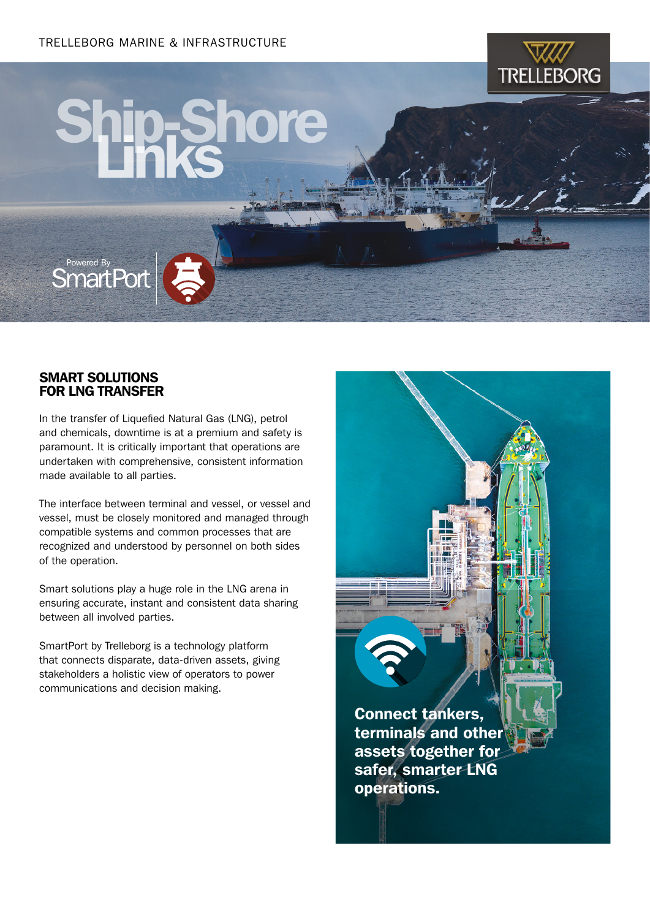

# Ship-Shore



## SMART SOLUTIONS FOR LNG TRANSFER

In the transfer of Liquefied Natural Gas (LNG), petrol and chemicals, downtime is at a premium and safety is paramount. It is critically important that operations are undertaken with comprehensive, consistent information made available to all parties.

The interface between terminal and vessel, or vessel and vessel, must be closely monitored and managed through compatible systems and common processes that are recognized and understood by personnel on both sides of the operation.

Smart solutions play a huge role in the LNG arena in ensuring accurate, instant and consistent data sharing between all involved parties.

SmartPort by Trelleborg is a technology platform that connects disparate, data-driven assets, giving stakeholders a holistic view of operators to power communications and decision making.

> Connect tankers, terminals and other assets together for safer, smarter LNG operations.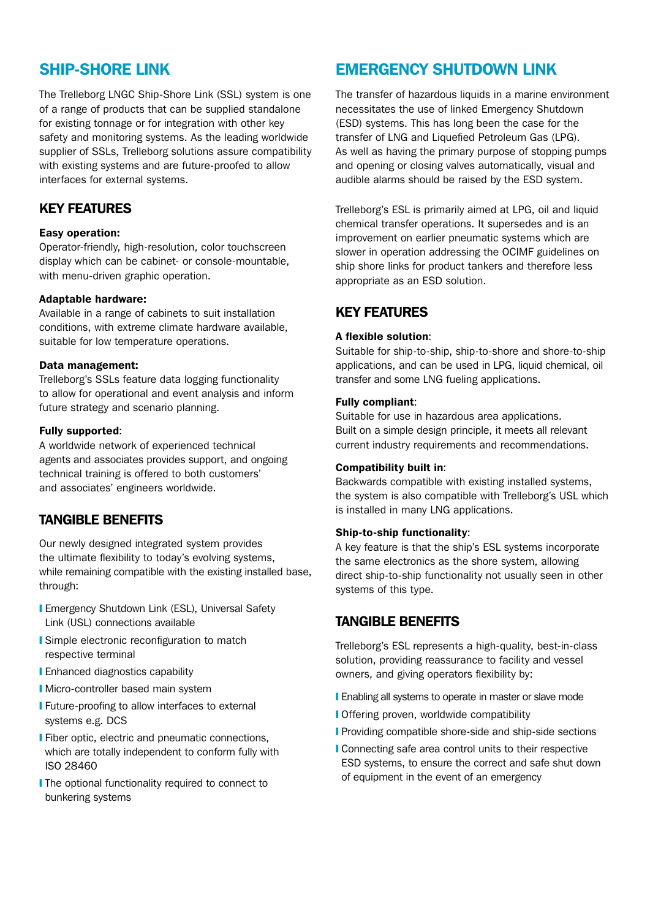# SHIP-SHORE LINK

The Trelleborg LNGC Ship-Shore Link (SSL) system is one of a range of products that can be supplied standalone for existing tonnage or for integration with other key safety and monitoring systems. As the leading worldwide supplier of SSLs, Trelleborg solutions assure compatibility with existing systems and are future-proofed to allow interfaces for external systems.

## KEY FEATURES

#### Easy operation:

Operator-friendly, high-resolution, color touchscreen display which can be cabinet- or console-mountable, with menu-driven graphic operation.

#### Adaptable hardware:

Available in a range of cabinets to suit installation conditions, with extreme climate hardware available, suitable for low temperature operations.

#### Data management:

Trelleborg's SSLs feature data logging functionality to allow for operational and event analysis and inform future strategy and scenario planning.

#### Fully supported:

A worldwide network of experienced technical agents and associates provides support, and ongoing technical training is offered to both customers' and associates' engineers worldwide.

## TANGIBLE BENEFITS

Our newly designed integrated system provides the ultimate flexibility to today's evolving systems, while remaining compatible with the existing installed base, through:

- **I** Emergency Shutdown Link (ESL), Universal Safety Link (USL) connections available
- **■** Simple electronic reconfiguration to match respective terminal
- **I** Enhanced diagnostics capability
- **I** Micro-controller based main system
- **I** Future-proofing to allow interfaces to external systems e.g. DCS
- **I** Fiber optic, electric and pneumatic connections, which are totally independent to conform fully with ISO 28460
- **I** The optional functionality required to connect to bunkering systems

# EMERGENCY SHUTDOWN LINK

The transfer of hazardous liquids in a marine environment necessitates the use of linked Emergency Shutdown (ESD) systems. This has long been the case for the transfer of LNG and Liquefied Petroleum Gas (LPG). As well as having the primary purpose of stopping pumps and opening or closing valves automatically, visual and audible alarms should be raised by the ESD system.

Trelleborg's ESL is primarily aimed at LPG, oil and liquid chemical transfer operations. It supersedes and is an improvement on earlier pneumatic systems which are slower in operation addressing the OCIMF guidelines on ship shore links for product tankers and therefore less appropriate as an ESD solution.

## KEY FEATURES

#### A flexible solution:

Suitable for ship-to-ship, ship-to-shore and shore-to-ship applications, and can be used in LPG, liquid chemical, oil transfer and some LNG fueling applications.

## Fully compliant:

Suitable for use in hazardous area applications. Built on a simple design principle, it meets all relevant current industry requirements and recommendations.

#### Compatibility built in:

Backwards compatible with existing installed systems, the system is also compatible with Trelleborg's USL which is installed in many LNG applications.

#### Ship-to-ship functionality:

A key feature is that the ship's ESL systems incorporate the same electronics as the shore system, allowing direct ship-to-ship functionality not usually seen in other systems of this type.

## TANGIBLE BENEFITS

Trelleborg's ESL represents a high-quality, best-in-class solution, providing reassurance to facility and vessel owners, and giving operators flexibility by:

- **I** Enabling all systems to operate in master or slave mode
- **I** Offering proven, worldwide compatibility
- **I** Providing compatible shore-side and ship-side sections
- ❙ Connecting safe area control units to their respective ESD systems, to ensure the correct and safe shut down of equipment in the event of an emergency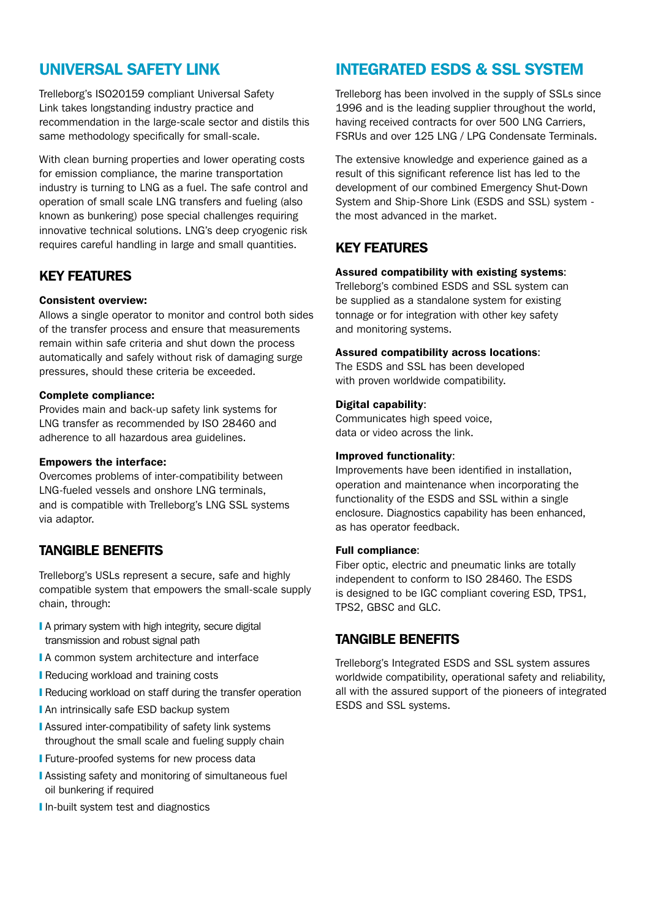# UNIVERSAL SAFETY LINK

Trelleborg's ISO20159 compliant Universal Safety Link takes longstanding industry practice and recommendation in the large-scale sector and distils this same methodology specifically for small-scale.

With clean burning properties and lower operating costs for emission compliance, the marine transportation industry is turning to LNG as a fuel. The safe control and operation of small scale LNG transfers and fueling (also known as bunkering) pose special challenges requiring innovative technical solutions. LNG's deep cryogenic risk requires careful handling in large and small quantities.

## KEY FEATURES

## Consistent overview:

Allows a single operator to monitor and control both sides of the transfer process and ensure that measurements remain within safe criteria and shut down the process automatically and safely without risk of damaging surge pressures, should these criteria be exceeded.

## Complete compliance:

Provides main and back-up safety link systems for LNG transfer as recommended by ISO 28460 and adherence to all hazardous area guidelines.

## Empowers the interface:

Overcomes problems of inter-compatibility between LNG-fueled vessels and onshore LNG terminals, and is compatible with Trelleborg's LNG SSL systems via adaptor.

## TANGIBLE BENEFITS

Trelleborg's USLs represent a secure, safe and highly compatible system that empowers the small-scale supply chain, through:

- I A primary system with high integrity, secure digital transmission and robust signal path
- **ⅠA** common system architecture and interface
- **Reducing workload and training costs**
- ❙ Reducing workload on staff during the transfer operation
- **I** An intrinsically safe ESD backup system
- **Assured inter-compatibility of safety link systems** throughout the small scale and fueling supply chain
- **I** Future-proofed systems for new process data
- ❙ Assisting safety and monitoring of simultaneous fuel oil bunkering if required
- **I** In-built system test and diagnostics

# INTEGRATED ESDS & SSL SYSTEM

Trelleborg has been involved in the supply of SSLs since 1996 and is the leading supplier throughout the world, having received contracts for over 500 LNG Carriers, FSRUs and over 125 LNG / LPG Condensate Terminals.

The extensive knowledge and experience gained as a result of this significant reference list has led to the development of our combined Emergency Shut-Down System and Ship-Shore Link (ESDS and SSL) system the most advanced in the market.

## KEY FEATURES

## Assured compatibility with existing systems:

Trelleborg's combined ESDS and SSL system can be supplied as a standalone system for existing tonnage or for integration with other key safety and monitoring systems.

## Assured compatibility across locations:

The ESDS and SSL has been developed with proven worldwide compatibility.

## Digital capability:

Communicates high speed voice, data or video across the link.

#### Improved functionality:

Improvements have been identified in installation, operation and maintenance when incorporating the functionality of the ESDS and SSL within a single enclosure. Diagnostics capability has been enhanced, as has operator feedback.

## Full compliance:

Fiber optic, electric and pneumatic links are totally independent to conform to ISO 28460. The ESDS is designed to be IGC compliant covering ESD, TPS1, TPS2, GBSC and GLC.

## TANGIBLE BENEFITS

Trelleborg's Integrated ESDS and SSL system assures worldwide compatibility, operational safety and reliability, all with the assured support of the pioneers of integrated ESDS and SSL systems.